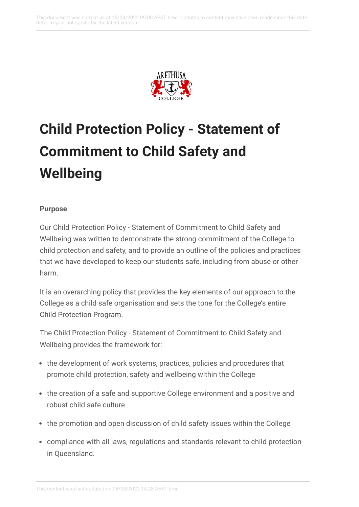

# **Child Protection Policy - Statement of Commitment to Child Safety and Wellbeing**

#### **Purpose**

Our Child Protection Policy - Statement of Commitment to Child Safety and Wellbeing was written to demonstrate the strong commitment of the College to child protection and safety, and to provide an outline of the policies and practices that we have developed to keep our students safe, including from abuse or other harm.

It is an overarching policy that provides the key elements of our approach to the College as a child safe organisation and sets the tone for the College's entire Child Protection Program.

The Child Protection Policy - Statement of Commitment to Child Safety and Wellbeing provides the framework for:

- the development of work systems, practices, policies and procedures that promote child protection, safety and wellbeing within the College
- the creation of a safe and supportive College environment and a positive and robust child safe culture
- the promotion and open discussion of child safety issues within the College
- compliance with all laws, regulations and standards relevant to child protection in Queensland.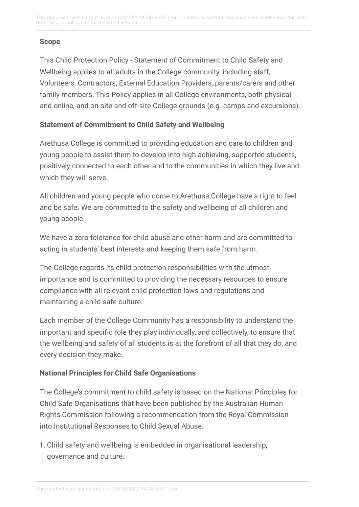This document was current as at 15/03/2022 09:00 AEST time. Updates to content may have been made since this date. Refer to your policy site for the latest version.

#### **Scope**

This Child Protection Policy - Statement of Commitment to Child Safety and Wellbeing applies to all adults in the College community, including staff, Volunteers, Contractors, External Education Providers, parents/carers and other family members. This Policy applies in all College environments, both physical and online, and on-site and off-site College grounds (e.g. camps and excursions).

#### **Statement of Commitment to Child Safety and Wellbeing**

Arethusa College is committed to providing education and care to children and young people to assist them to develop into high achieving, supported students, positively connected to each other and to the communities in which they live and which they will serve.

All children and young people who come to Arethusa College have a right to feel and be safe. We are committed to the safety and wellbeing of all children and young people.

We have a zero tolerance for child abuse and other harm and are committed to acting in students' best interests and keeping them safe from harm.

The College regards its child protection responsibilities with the utmost importance and is committed to providing the necessary resources to ensure compliance with all relevant child protection laws and regulations and maintaining a child safe culture.

Each member of the College Community has a responsibility to understand the important and specific role they play individually, and collectively, to ensure that the wellbeing and safety of all students is at the forefront of all that they do, and every decision they make.

#### **National Principles for Child Safe Organisations**

The College's commitment to child safety is based on the National Principles for Child Safe Organisations that have been published by the Australian Human Rights Commission following a recommendation from the Royal Commission into Institutional Responses to Child Sexual Abuse.

1. Child safety and wellbeing is embedded in organisational leadership, governance and culture.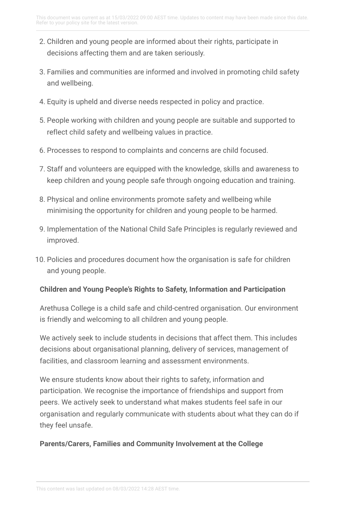- 2. Children and young people are informed about their rights, participate in decisions affecting them and are taken seriously.
- 3. Families and communities are informed and involved in promoting child safety and wellbeing.
- 4. Equity is upheld and diverse needs respected in policy and practice.
- 5. People working with children and young people are suitable and supported to reflect child safety and wellbeing values in practice.
- 6. Processes to respond to complaints and concerns are child focused.
- 7. Staff and volunteers are equipped with the knowledge, skills and awareness to keep children and young people safe through ongoing education and training.
- 8. Physical and online environments promote safety and wellbeing while minimising the opportunity for children and young people to be harmed.
- 9. Implementation of the National Child Safe Principles is regularly reviewed and improved.
- 10. Policies and procedures document how the organisation is safe for children and young people.

# **Children and Young People's Rights to Safety, Information and Participation**

Arethusa College is a child safe and child-centred organisation. Our environment is friendly and welcoming to all children and young people.

We actively seek to include students in decisions that affect them. This includes decisions about organisational planning, delivery of services, management of facilities, and classroom learning and assessment environments.

We ensure students know about their rights to safety, information and participation. We recognise the importance of friendships and support from peers. We actively seek to understand what makes students feel safe in our organisation and regularly communicate with students about what they can do if they feel unsafe.

# **Parents/Carers, Families and Community Involvement at the College**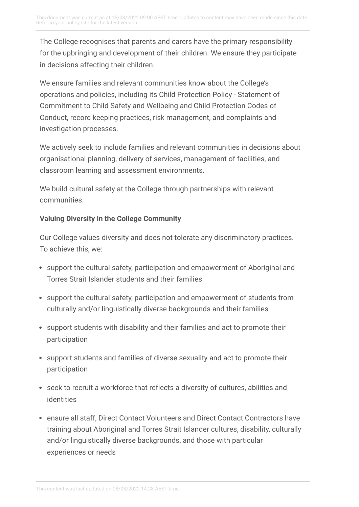The College recognises that parents and carers have the primary responsibility for the upbringing and development of their children. We ensure they participate in decisions affecting their children.

We ensure families and relevant communities know about the College's operations and policies, including its Child Protection Policy - Statement of Commitment to Child Safety and Wellbeing and Child Protection Codes of Conduct, record keeping practices, risk management, and complaints and investigation processes.

We actively seek to include families and relevant communities in decisions about organisational planning, delivery of services, management of facilities, and classroom learning and assessment environments.

We build cultural safety at the College through partnerships with relevant communities.

### **Valuing Diversity in the College Community**

Our College values diversity and does not tolerate any discriminatory practices. To achieve this, we:

- support the cultural safety, participation and empowerment of Aboriginal and Torres Strait Islander students and their families
- support the cultural safety, participation and empowerment of students from culturally and/or linguistically diverse backgrounds and their families
- support students with disability and their families and act to promote their participation
- support students and families of diverse sexuality and act to promote their participation
- seek to recruit a workforce that reflects a diversity of cultures, abilities and identities
- ensure all staff, Direct Contact Volunteers and Direct Contact Contractors have training about Aboriginal and Torres Strait Islander cultures, disability, culturally and/or linguistically diverse backgrounds, and those with particular experiences or needs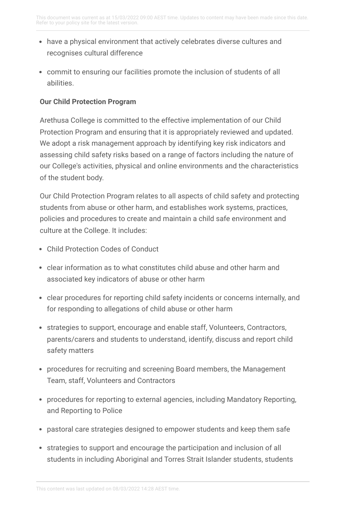- have a physical environment that actively celebrates diverse cultures and recognises cultural difference
- commit to ensuring our facilities promote the inclusion of students of all abilities.

#### **Our Child Protection Program**

Arethusa College is committed to the effective implementation of our Child Protection Program and ensuring that it is appropriately reviewed and updated. We adopt a risk management approach by identifying key risk indicators and assessing child safety risks based on a range of factors including the nature of our College's activities, physical and online environments and the characteristics of the student body.

Our Child Protection Program relates to all aspects of child safety and protecting students from abuse or other harm, and establishes work systems, practices, policies and procedures to create and maintain a child safe environment and culture at the College. It includes:

- Child Protection Codes of Conduct
- clear information as to what constitutes child abuse and other harm and associated key indicators of abuse or other harm
- clear procedures for reporting child safety incidents or concerns internally, and for responding to allegations of child abuse or other harm
- strategies to support, encourage and enable staff, Volunteers, Contractors, parents/carers and students to understand, identify, discuss and report child safety matters
- procedures for recruiting and screening Board members, the Management Team, staff, Volunteers and Contractors
- procedures for reporting to external agencies, including Mandatory Reporting, and Reporting to Police
- pastoral care strategies designed to empower students and keep them safe
- strategies to support and encourage the participation and inclusion of all students in including Aboriginal and Torres Strait Islander students, students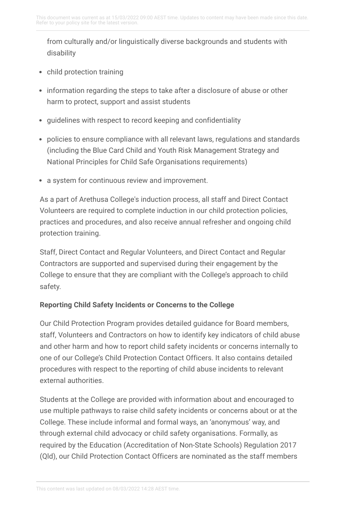from culturally and/or linguistically diverse backgrounds and students with disability

- child protection training
- information regarding the steps to take after a disclosure of abuse or other harm to protect, support and assist students
- guidelines with respect to record keeping and confidentiality
- policies to ensure compliance with all relevant laws, regulations and standards (including the Blue Card Child and Youth Risk Management Strategy and National Principles for Child Safe Organisations requirements)
- a system for continuous review and improvement.

As a part of Arethusa College's induction process, all staff and Direct Contact Volunteers are required to complete induction in our child protection policies, practices and procedures, and also receive annual refresher and ongoing child protection training.

Staff, Direct Contact and Regular Volunteers, and Direct Contact and Regular Contractors are supported and supervised during their engagement by the College to ensure that they are compliant with the College's approach to child safety.

### **Reporting Child Safety Incidents or Concerns to the College**

Our Child Protection Program provides detailed guidance for Board members, staff, Volunteers and Contractors on how to identify key indicators of child abuse and other harm and how to report child safety incidents or concerns internally to one of our College's Child Protection Contact Officers. It also contains detailed procedures with respect to the reporting of child abuse incidents to relevant external authorities.

Students at the College are provided with information about and encouraged to use multiple pathways to raise child safety incidents or concerns about or at the College. These include informal and formal ways, an 'anonymous' way, and through external child advocacy or child safety organisations. Formally, as required by the Education (Accreditation of Non-State Schools) Regulation 2017 (Qld), our Child Protection Contact Officers are nominated as the staff members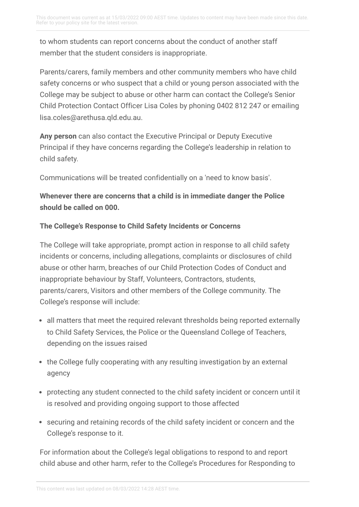to whom students can report concerns about the conduct of another staff member that the student considers is inappropriate.

Parents/carers, family members and other community members who have child safety concerns or who suspect that a child or young person associated with the College may be subject to abuse or other harm can contact the College's Senior Child Protection Contact Officer Lisa Coles by phoning 0402 812 247 or emailing lisa.coles@arethusa.qld.edu.au.

**Any person** can also contact the Executive Principal or Deputy Executive Principal if they have concerns regarding the College's leadership in relation to child safety.

Communications will be treated confidentially on a 'need to know basis'.

# **Whenever there are concerns that a child is in immediate danger the Police should be called on 000.**

#### **The College's Response to Child Safety Incidents or Concerns**

The College will take appropriate, prompt action in response to all child safety incidents or concerns, including allegations, complaints or disclosures of child abuse or other harm, breaches of our Child Protection Codes of Conduct and inappropriate behaviour by Staff, Volunteers, Contractors, students, parents/carers, Visitors and other members of the College community. The College's response will include:

- all matters that meet the required relevant thresholds being reported externally to Child Safety Services, the Police or the Queensland College of Teachers, depending on the issues raised
- the College fully cooperating with any resulting investigation by an external agency
- protecting any student connected to the child safety incident or concern until it is resolved and providing ongoing support to those affected
- securing and retaining records of the child safety incident or concern and the College's response to it.

For information about the College's legal obligations to respond to and report child abuse and other harm, refer to the College's Procedures for Responding to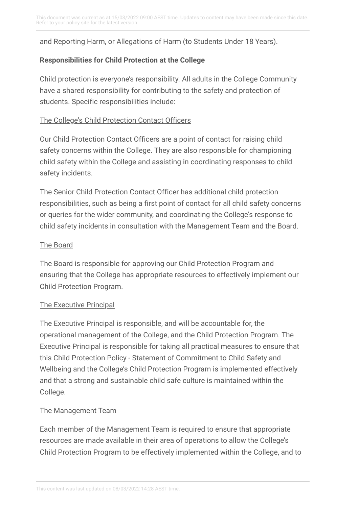and Reporting Harm, or Allegations of Harm (to Students Under 18 Years).

## **Responsibilities for Child Protection at the College**

Child protection is everyone's responsibility. All adults in the College Community have a shared responsibility for contributing to the safety and protection of students. Specific responsibilities include:

#### The College's Child Protection Contact Officers

Our Child Protection Contact Officers are a point of contact for raising child safety concerns within the College. They are also responsible for championing child safety within the College and assisting in coordinating responses to child safety incidents.

The Senior Child Protection Contact Officer has additional child protection responsibilities, such as being a first point of contact for all child safety concerns or queries for the wider community, and coordinating the College's response to child safety incidents in consultation with the Management Team and the Board.

### The Board

The Board is responsible for approving our Child Protection Program and ensuring that the College has appropriate resources to effectively implement our Child Protection Program.

#### The Executive Principal

The Executive Principal is responsible, and will be accountable for, the operational management of the College, and the Child Protection Program. The Executive Principal is responsible for taking all practical measures to ensure that this Child Protection Policy - Statement of Commitment to Child Safety and Wellbeing and the College's Child Protection Program is implemented effectively and that a strong and sustainable child safe culture is maintained within the College.

### The Management Team

Each member of the Management Team is required to ensure that appropriate resources are made available in their area of operations to allow the College's Child Protection Program to be effectively implemented within the College, and to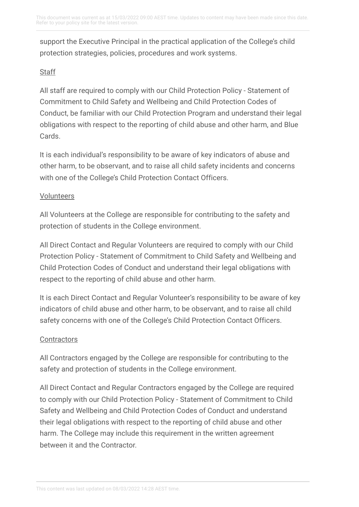support the Executive Principal in the practical application of the College's child protection strategies, policies, procedures and work systems.

## **Staff**

All staff are required to comply with our Child Protection Policy - Statement of Commitment to Child Safety and Wellbeing and Child Protection Codes of Conduct, be familiar with our Child Protection Program and understand their legal obligations with respect to the reporting of child abuse and other harm, and Blue Cards.

It is each individual's responsibility to be aware of key indicators of abuse and other harm, to be observant, and to raise all child safety incidents and concerns with one of the College's Child Protection Contact Officers.

### Volunteers

All Volunteers at the College are responsible for contributing to the safety and protection of students in the College environment.

All Direct Contact and Regular Volunteers are required to comply with our Child Protection Policy - Statement of Commitment to Child Safety and Wellbeing and Child Protection Codes of Conduct and understand their legal obligations with respect to the reporting of child abuse and other harm.

It is each Direct Contact and Regular Volunteer's responsibility to be aware of key indicators of child abuse and other harm, to be observant, and to raise all child safety concerns with one of the College's Child Protection Contact Officers.

### **Contractors**

All Contractors engaged by the College are responsible for contributing to the safety and protection of students in the College environment.

All Direct Contact and Regular Contractors engaged by the College are required to comply with our Child Protection Policy - Statement of Commitment to Child Safety and Wellbeing and Child Protection Codes of Conduct and understand their legal obligations with respect to the reporting of child abuse and other harm. The College may include this requirement in the written agreement between it and the Contractor.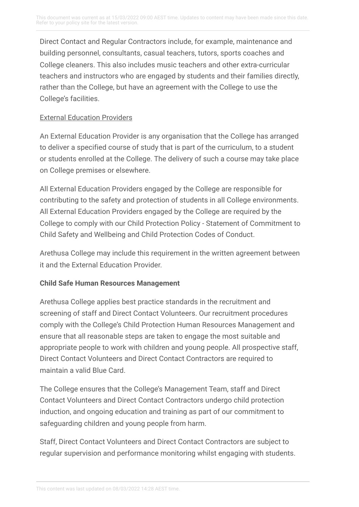Direct Contact and Regular Contractors include, for example, maintenance and building personnel, consultants, casual teachers, tutors, sports coaches and College cleaners. This also includes music teachers and other extra-curricular teachers and instructors who are engaged by students and their families directly, rather than the College, but have an agreement with the College to use the College's facilities.

#### External Education Providers

An External Education Provider is any organisation that the College has arranged to deliver a specified course of study that is part of the curriculum, to a student or students enrolled at the College. The delivery of such a course may take place on College premises or elsewhere.

All External Education Providers engaged by the College are responsible for contributing to the safety and protection of students in all College environments. All External Education Providers engaged by the College are required by the College to comply with our Child Protection Policy - Statement of Commitment to Child Safety and Wellbeing and Child Protection Codes of Conduct.

Arethusa College may include this requirement in the written agreement between it and the External Education Provider.

### **Child Safe Human Resources Management**

Arethusa College applies best practice standards in the recruitment and screening of staff and Direct Contact Volunteers. Our recruitment procedures comply with the College's Child Protection Human Resources Management and ensure that all reasonable steps are taken to engage the most suitable and appropriate people to work with children and young people. All prospective staff, Direct Contact Volunteers and Direct Contact Contractors are required to maintain a valid Blue Card.

The College ensures that the College's Management Team, staff and Direct Contact Volunteers and Direct Contact Contractors undergo child protection induction, and ongoing education and training as part of our commitment to safeguarding children and young people from harm.

Staff, Direct Contact Volunteers and Direct Contact Contractors are subject to regular supervision and performance monitoring whilst engaging with students.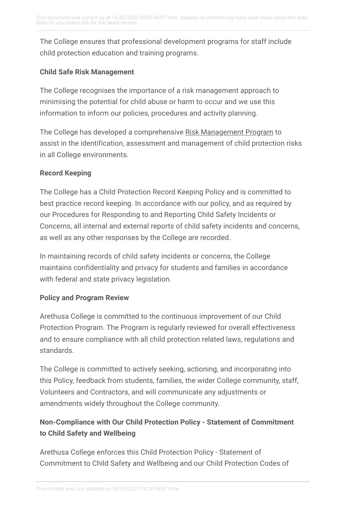The College ensures that professional development programs for staff include child protection education and training programs.

## **Child Safe Risk Management**

The College recognises the importance of a risk management approach to minimising the potential for child abuse or harm to occur and we use this information to inform our policies, procedures and activity planning.

The College has developed a comprehensive Risk [Management](https://arethusa.policyconnect.com.au/module/237/page/README.md) Program to assist in the identification, assessment and management of child protection risks in all College environments.

### **Record Keeping**

The College has a Child Protection Record Keeping Policy and is committed to best practice record keeping. In accordance with our policy, and as required by our Procedures for Responding to and Reporting Child Safety Incidents or Concerns, all internal and external reports of child safety incidents and concerns, as well as any other responses by the College are recorded.

In maintaining records of child safety incidents or concerns, the College maintains confidentiality and privacy for students and families in accordance with federal and state privacy legislation.

# **Policy and Program Review**

Arethusa College is committed to the continuous improvement of our Child Protection Program. The Program is regularly reviewed for overall effectiveness and to ensure compliance with all child protection related laws, regulations and standards.

The College is committed to actively seeking, actioning, and incorporating into this Policy, feedback from students, families, the wider College community, staff, Volunteers and Contractors, and will communicate any adjustments or amendments widely throughout the College community.

# **Non-Compliance with Our Child Protection Policy - Statement of Commitment to Child Safety and Wellbeing**

Arethusa College enforces this Child Protection Policy - Statement of Commitment to Child Safety and Wellbeing and our Child Protection Codes of